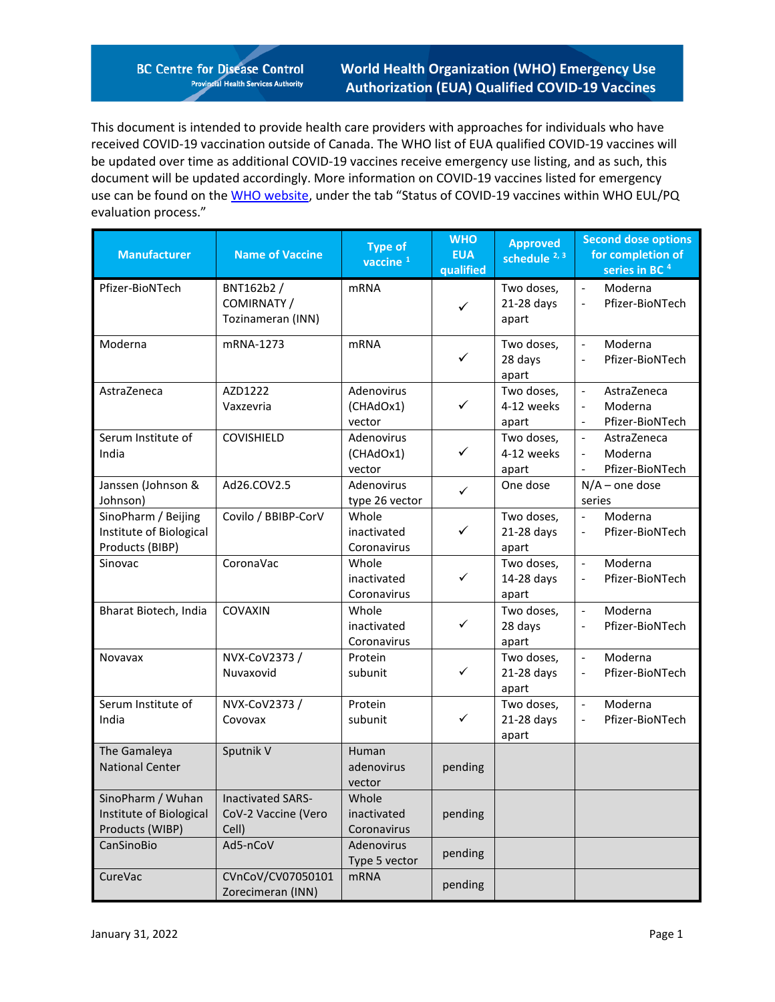**BC Centre for Disease Control Provincial Health Services Authority** 

**World Health Organization (WHO) Emergency Use Authorization (EUA) Qualified COVID-19 Vaccines**

This document is intended to provide health care providers with approaches for individuals who have received COVID-19 vaccination outside of Canada. The WHO list of EUA qualified COVID-19 vaccines will be updated over time as additional COVID-19 vaccines receive emergency use listing, and as such, this document will be updated accordingly. More information on COVID-19 vaccines listed for emergency use can be found on th[e WHO website,](https://www.who.int/teams/regulation-prequalification/eul/covid-19) under the tab "Status of COVID-19 vaccines within WHO EUL/PQ evaluation process."

| <b>Manufacturer</b>                                                                 | <b>Name of Vaccine</b>                         | <b>Type of</b><br>vaccine <sup>1</sup> | <b>WHO</b><br><b>EUA</b><br>qualified | <b>Approved</b><br>schedule $2, 3$ | <b>Second dose options</b><br>for completion of<br>series in BC <sup>4</sup>                                                  |
|-------------------------------------------------------------------------------------|------------------------------------------------|----------------------------------------|---------------------------------------|------------------------------------|-------------------------------------------------------------------------------------------------------------------------------|
| Pfizer-BioNTech                                                                     | BNT162b2 /<br>COMIRNATY /<br>Tozinameran (INN) | <b>mRNA</b>                            | $\checkmark$                          | Two doses,<br>21-28 days<br>apart  | Moderna<br>$\overline{\phantom{a}}$<br>Pfizer-BioNTech<br>$\overline{\phantom{a}}$                                            |
| Moderna                                                                             | mRNA-1273                                      | <b>mRNA</b>                            | ✓                                     | Two doses,<br>28 days<br>apart     | Moderna<br>$\overline{\phantom{a}}$<br>Pfizer-BioNTech                                                                        |
| AstraZeneca                                                                         | AZD1222<br>Vaxzevria                           | Adenovirus<br>(CHAdOx1)<br>vector      | ✓                                     | Two doses,<br>4-12 weeks<br>apart  | AstraZeneca<br>$\overline{\phantom{a}}$<br>Moderna<br>$\overline{\phantom{a}}$<br>Pfizer-BioNTech<br>$\overline{\phantom{a}}$ |
| Serum Institute of<br>India                                                         | COVISHIELD                                     | Adenovirus<br>(CHAdOx1)<br>vector      | ✓                                     | Two doses,<br>4-12 weeks<br>apart  | AstraZeneca<br>$\blacksquare$<br>Moderna<br>$\overline{\phantom{a}}$<br>Pfizer-BioNTech                                       |
| Janssen (Johnson &<br>Johnson)                                                      | Ad26.COV2.5                                    | Adenovirus<br>type 26 vector           | $\checkmark$                          | One dose                           | $N/A$ – one dose<br>series                                                                                                    |
| SinoPharm / Beijing<br>Institute of Biological<br>Products (BIBP)                   | Covilo / BBIBP-CorV                            | Whole<br>inactivated<br>Coronavirus    | $\checkmark$                          | Two doses,<br>21-28 days<br>apart  | Moderna<br>$\overline{\phantom{a}}$<br>Pfizer-BioNTech<br>$\overline{\phantom{a}}$                                            |
| Sinovac                                                                             | CoronaVac                                      | Whole<br>inactivated<br>Coronavirus    | ✓                                     | Two doses,<br>14-28 days<br>apart  | Moderna<br>$\overline{\phantom{a}}$<br>Pfizer-BioNTech<br>$\overline{\phantom{a}}$                                            |
| Bharat Biotech, India                                                               | COVAXIN                                        | Whole<br>inactivated<br>Coronavirus    | ✓                                     | Two doses,<br>28 days<br>apart     | Moderna<br>$\overline{a}$<br>Pfizer-BioNTech<br>$\overline{\phantom{a}}$                                                      |
| Novavax                                                                             | NVX-CoV2373 /<br>Nuvaxovid                     | Protein<br>subunit                     | ✓                                     | Two doses,<br>21-28 days<br>apart  | Moderna<br>$\overline{\phantom{a}}$<br>Pfizer-BioNTech<br>$\overline{\phantom{a}}$                                            |
| Serum Institute of<br>India                                                         | NVX-CoV2373 /<br>Covovax                       | Protein<br>subunit                     | ✓                                     | Two doses,<br>21-28 days<br>apart  | Moderna<br>$\Box$<br>Pfizer-BioNTech<br>$\overline{\phantom{a}}$                                                              |
| The Gamaleya<br><b>National Center</b>                                              | Sputnik V                                      | Human<br>adenovirus<br>vector          | pending                               |                                    |                                                                                                                               |
| SinoPharm / Wuhan   Inactivated SARS-<br>Institute of Biological<br>Products (WIBP) | CoV-2 Vaccine (Vero<br>Cell)                   | Whole<br>inactivated<br>Coronavirus    | pending                               |                                    |                                                                                                                               |
| CanSinoBio                                                                          | Ad5-nCoV                                       | Adenovirus<br>Type 5 vector            | pending                               |                                    |                                                                                                                               |
| CureVac                                                                             | CVnCoV/CV07050101<br>Zorecimeran (INN)         | <b>mRNA</b>                            | pending                               |                                    |                                                                                                                               |